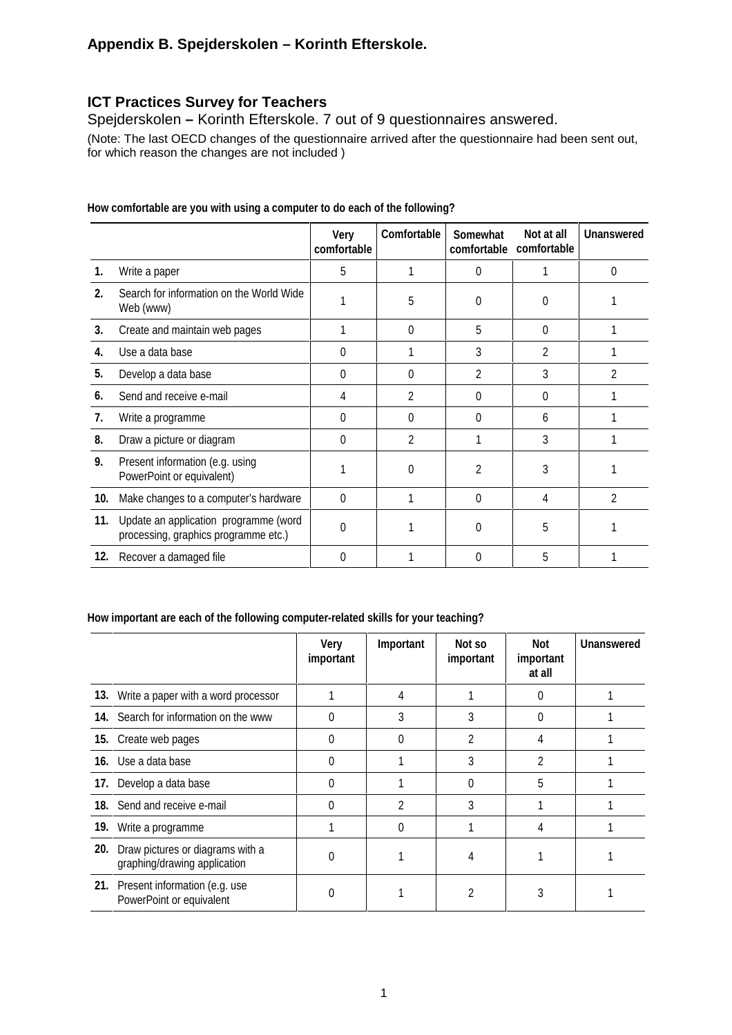# **Appendix B. Spejderskolen – Korinth Efterskole.**

# **ICT Practices Survey for Teachers**

Spejderskolen **–** Korinth Efterskole. 7 out of 9 questionnaires answered.

(Note: The last OECD changes of the questionnaire arrived after the questionnaire had been sent out, for which reason the changes are not included )

|     |                                                                               | Very<br>comfortable | Comfortable    | Somewhat<br>comfortable | Not at all<br>comfortable | <b>Unanswered</b> |
|-----|-------------------------------------------------------------------------------|---------------------|----------------|-------------------------|---------------------------|-------------------|
| 1.  | Write a paper                                                                 | 5                   |                | 0                       |                           | 0                 |
| 2.  | Search for information on the World Wide<br>Web (www)                         |                     | 5              | 0                       | ∩                         |                   |
| 3.  | Create and maintain web pages                                                 |                     | $\Omega$       | 5                       | $\Omega$                  |                   |
| 4.  | Use a data base                                                               | 0                   |                | 3                       | 2                         |                   |
| 5.  | Develop a data base                                                           | $\Omega$            | 0              | 2                       | 3                         | 2                 |
| 6.  | Send and receive e-mail                                                       | 4                   | $\overline{2}$ | 0                       | 0                         |                   |
| 7.  | Write a programme                                                             | 0                   | 0              | 0                       | 6                         |                   |
| 8.  | Draw a picture or diagram                                                     | $\Omega$            | $\mathfrak{p}$ | 1                       | 3                         |                   |
| 9.  | Present information (e.g. using<br>PowerPoint or equivalent)                  |                     | 0              | 2                       | 3                         |                   |
| 10. | Make changes to a computer's hardware                                         | 0                   |                | 0                       | 4                         | $\mathfrak{p}$    |
| 11. | Update an application programme (word<br>processing, graphics programme etc.) | 0                   |                | 0                       | 5                         |                   |
| 12. | Recover a damaged file                                                        | 0                   |                | 0                       | 5                         |                   |

**How comfortable are you with using a computer to do each of the following?**

#### **How important are each of the following computer-related skills for your teaching?**

|     |                                                                  | <b>Very</b><br>important | Important      | Not so<br>important | Not<br>important<br>at all | <b>Unanswered</b> |
|-----|------------------------------------------------------------------|--------------------------|----------------|---------------------|----------------------------|-------------------|
|     | 13. Write a paper with a word processor                          |                          |                |                     | 0                          |                   |
|     | 14. Search for information on the www                            | 0                        | 3              |                     | 0                          |                   |
|     | 15. Create web pages                                             | 0                        |                | 2                   | 4                          |                   |
|     | 16. Use a data base                                              | 0                        |                | 3                   | $\mathfrak{p}$             |                   |
|     | 17. Develop a data base                                          | 0                        |                | O                   | 5                          |                   |
|     | 18. Send and receive e-mail                                      | 0                        | $\mathfrak{p}$ | 3                   |                            |                   |
|     | 19. Write a programme                                            |                          | $\Omega$       |                     | 4                          |                   |
| 20. | Draw pictures or diagrams with a<br>graphing/drawing application | 0                        |                |                     |                            |                   |
|     | 21. Present information (e.g. use<br>PowerPoint or equivalent    | O                        |                |                     | 3                          |                   |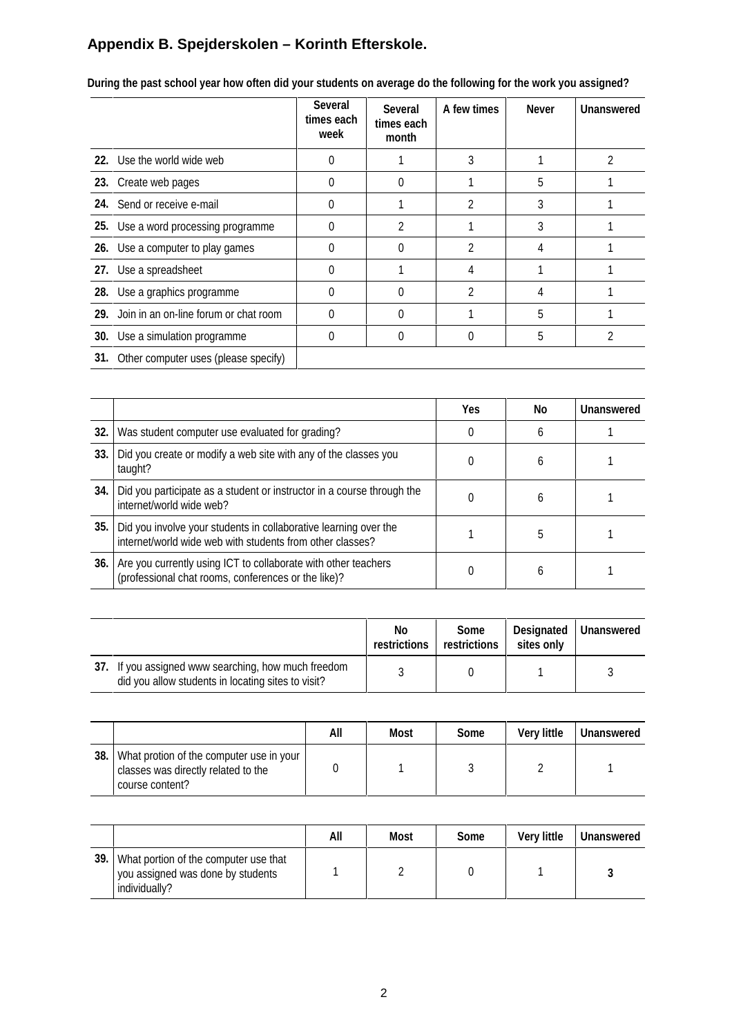# **Appendix B. Spejderskolen – Korinth Efterskole.**

|                                           | <b>Several</b><br>times each<br>week | <b>Several</b><br>times each<br>month | A few times | <b>Never</b> | <b>Unanswered</b> |
|-------------------------------------------|--------------------------------------|---------------------------------------|-------------|--------------|-------------------|
| 22. Use the world wide web                | 0                                    |                                       |             |              |                   |
| 23. Create web pages                      | 0                                    |                                       |             | 5            |                   |
| 24. Send or receive e-mail                | 0                                    |                                       |             | 3            |                   |
| 25. Use a word processing programme       | $\Omega$                             | 2                                     |             | 3            |                   |
| 26. Use a computer to play games          | 0                                    |                                       | 2           |              |                   |
| 27. Use a spreadsheet                     | 0                                    |                                       |             |              |                   |
| 28. Use a graphics programme              | $\theta$                             |                                       | 2           |              |                   |
| 29. Join in an on-line forum or chat room | $\theta$                             |                                       |             | 5            |                   |
| 30. Use a simulation programme            | 0                                    |                                       |             | 5            |                   |
| 31. Other computer uses (please specify)  |                                      |                                       |             |              |                   |

**During the past school year how often did your students on average do the following for the work you assigned?**

|      |                                                                                                                               | <b>Yes</b> | No | Unanswered |
|------|-------------------------------------------------------------------------------------------------------------------------------|------------|----|------------|
| 32.1 | Was student computer use evaluated for grading?                                                                               |            | 6  |            |
| 33.  | Did you create or modify a web site with any of the classes you<br>taught?                                                    |            | h  |            |
| 34.  | Did you participate as a student or instructor in a course through the<br>internet/world wide web?                            |            | h  |            |
| 35.  | Did you involve your students in collaborative learning over the<br>internet/world wide web with students from other classes? |            | 5  |            |
| 36.  | Are you currently using ICT to collaborate with other teachers<br>(professional chat rooms, conferences or the like)?         |            | 6  |            |

|                                                                                                           | No<br>restrictions | Some<br>restrictions | sites only | Designated   Unanswered |
|-----------------------------------------------------------------------------------------------------------|--------------------|----------------------|------------|-------------------------|
| 37. If you assigned www searching, how much freedom<br>did you allow students in locating sites to visit? |                    |                      |            |                         |

|     |                                                                                                    | All | Most | Some | <b>Very little</b> | <b>Unanswered</b> |
|-----|----------------------------------------------------------------------------------------------------|-----|------|------|--------------------|-------------------|
| 38. | What protion of the computer use in your<br>classes was directly related to the<br>course content? |     |      |      |                    |                   |

|      |                                                                                             | All | Most | Some | <b>Very little</b> | <b>Unanswered</b> |
|------|---------------------------------------------------------------------------------------------|-----|------|------|--------------------|-------------------|
| 39.1 | What portion of the computer use that<br>you assigned was done by students<br>individually? |     |      |      |                    |                   |